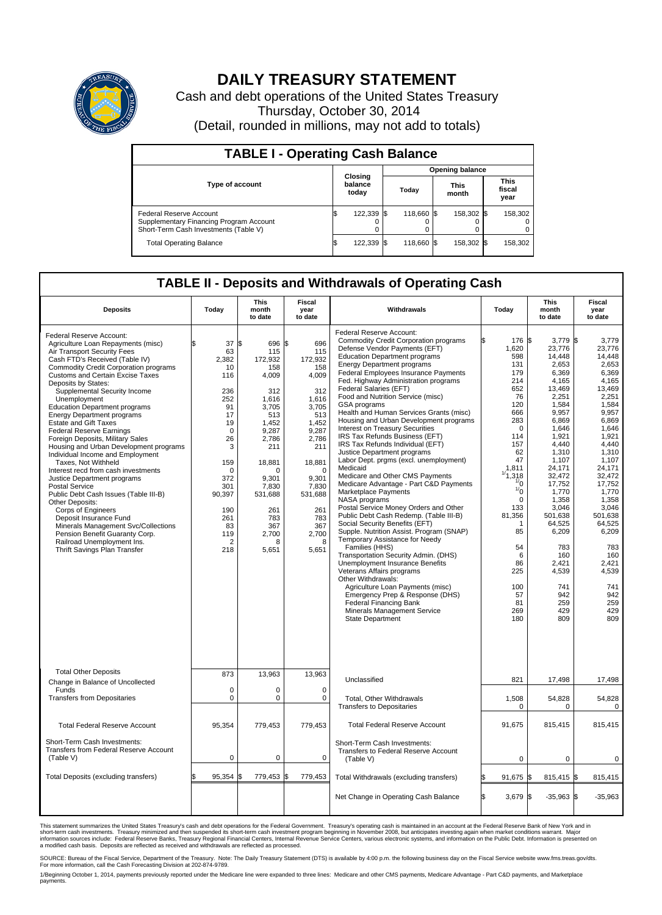

## **DAILY TREASURY STATEMENT**

Cash and debt operations of the United States Treasury Thursday, October 30, 2014 (Detail, rounded in millions, may not add to totals)

| <b>TABLE I - Operating Cash Balance</b>                                                                     |    |                             |      |                        |  |                      |  |                               |  |  |
|-------------------------------------------------------------------------------------------------------------|----|-----------------------------|------|------------------------|--|----------------------|--|-------------------------------|--|--|
|                                                                                                             |    |                             |      | <b>Opening balance</b> |  |                      |  |                               |  |  |
| <b>Type of account</b>                                                                                      |    | Closing<br>balance<br>today |      | Todav                  |  | <b>This</b><br>month |  | <b>This</b><br>fiscal<br>year |  |  |
| Federal Reserve Account<br>Supplementary Financing Program Account<br>Short-Term Cash Investments (Table V) |    | 122,339                     | - IS | 118,660 \$             |  | 158,302 \$           |  | 158,302                       |  |  |
| <b>Total Operating Balance</b>                                                                              | ß. | 122,339                     | 13   | 118,660 \$             |  | 158,302 \$           |  | 158,302                       |  |  |

## **TABLE II - Deposits and Withdrawals of Operating Cash**

| <b>Deposits</b>                                                                                                                                                                                                                                                                                                                                                                                                                                                                                                                                                                                                                                                                                                                                                                                                                                                                                                                       | Today                                                                                                                                                                                            | <b>This</b><br>month<br>to date                                                                                                                                                                           | <b>Fiscal</b><br>year<br>to date                                                                                                                                                                          | Withdrawals                                                                                                                                                                                                                                                                                                                                                                                                                                                                                                                                                                                                                                                                                                                                                                                                                                                                                                                                                                                                                                                                                                                                                                                                                                                                  | Today                                                                                                                                                                                                                                                               | <b>This</b><br>month<br>to date                                                                                                                                                                                                                                                                                | <b>Fiscal</b><br>year<br>to date                                                                                                                                                                                                                                                                          |
|---------------------------------------------------------------------------------------------------------------------------------------------------------------------------------------------------------------------------------------------------------------------------------------------------------------------------------------------------------------------------------------------------------------------------------------------------------------------------------------------------------------------------------------------------------------------------------------------------------------------------------------------------------------------------------------------------------------------------------------------------------------------------------------------------------------------------------------------------------------------------------------------------------------------------------------|--------------------------------------------------------------------------------------------------------------------------------------------------------------------------------------------------|-----------------------------------------------------------------------------------------------------------------------------------------------------------------------------------------------------------|-----------------------------------------------------------------------------------------------------------------------------------------------------------------------------------------------------------|------------------------------------------------------------------------------------------------------------------------------------------------------------------------------------------------------------------------------------------------------------------------------------------------------------------------------------------------------------------------------------------------------------------------------------------------------------------------------------------------------------------------------------------------------------------------------------------------------------------------------------------------------------------------------------------------------------------------------------------------------------------------------------------------------------------------------------------------------------------------------------------------------------------------------------------------------------------------------------------------------------------------------------------------------------------------------------------------------------------------------------------------------------------------------------------------------------------------------------------------------------------------------|---------------------------------------------------------------------------------------------------------------------------------------------------------------------------------------------------------------------------------------------------------------------|----------------------------------------------------------------------------------------------------------------------------------------------------------------------------------------------------------------------------------------------------------------------------------------------------------------|-----------------------------------------------------------------------------------------------------------------------------------------------------------------------------------------------------------------------------------------------------------------------------------------------------------|
| Federal Reserve Account:<br>Agriculture Loan Repayments (misc)<br>Air Transport Security Fees<br>Cash FTD's Received (Table IV)<br><b>Commodity Credit Corporation programs</b><br><b>Customs and Certain Excise Taxes</b><br>Deposits by States:<br>Supplemental Security Income<br>Unemployment<br><b>Education Department programs</b><br><b>Energy Department programs</b><br><b>Estate and Gift Taxes</b><br><b>Federal Reserve Earnings</b><br>Foreign Deposits, Military Sales<br>Housing and Urban Development programs<br>Individual Income and Employment<br>Taxes. Not Withheld<br>Interest recd from cash investments<br>Justice Department programs<br>Postal Service<br>Public Debt Cash Issues (Table III-B)<br>Other Deposits:<br>Corps of Engineers<br>Deposit Insurance Fund<br>Minerals Management Svc/Collections<br>Pension Benefit Guaranty Corp.<br>Railroad Unemployment Ins.<br>Thrift Savings Plan Transfer | 37<br>\$<br>63<br>2.382<br>10<br>116<br>236<br>252<br>91<br>17<br>19<br>$\mathbf 0$<br>26<br>3<br>159<br>$\mathbf 0$<br>372<br>301<br>90,397<br>190<br>261<br>83<br>119<br>$\overline{2}$<br>218 | 1\$<br>696 \$<br>115<br>172,932<br>158<br>4,009<br>312<br>1,616<br>3.705<br>513<br>1,452<br>9,287<br>2,786<br>211<br>18,881<br>O<br>9.301<br>7,830<br>531,688<br>261<br>783<br>367<br>2,700<br>я<br>5,651 | 696<br>115<br>172,932<br>158<br>4,009<br>312<br>1,616<br>3.705<br>513<br>1.452<br>9,287<br>2,786<br>211<br>18,881<br>$\mathbf 0$<br>9.301<br>7,830<br>531,688<br>261<br>783<br>367<br>2,700<br>8<br>5,651 | Federal Reserve Account:<br><b>Commodity Credit Corporation programs</b><br>Defense Vendor Payments (EFT)<br><b>Education Department programs</b><br><b>Energy Department programs</b><br>Federal Employees Insurance Payments<br>Fed. Highway Administration programs<br>Federal Salaries (EFT)<br>Food and Nutrition Service (misc)<br>GSA programs<br>Health and Human Services Grants (misc)<br>Housing and Urban Development programs<br>Interest on Treasury Securities<br>IRS Tax Refunds Business (EFT)<br>IRS Tax Refunds Individual (EFT)<br>Justice Department programs<br>Labor Dept. prgms (excl. unemployment)<br>Medicaid<br>Medicare and Other CMS Payments<br>Medicare Advantage - Part C&D Payments<br>Marketplace Payments<br>NASA programs<br>Postal Service Money Orders and Other<br>Public Debt Cash Redemp. (Table III-B)<br>Social Security Benefits (EFT)<br>Supple. Nutrition Assist. Program (SNAP)<br>Temporary Assistance for Needy<br>Families (HHS)<br>Transportation Security Admin. (DHS)<br>Unemployment Insurance Benefits<br>Veterans Affairs programs<br>Other Withdrawals:<br>Agriculture Loan Payments (misc)<br>Emergency Prep & Response (DHS)<br><b>Federal Financing Bank</b><br>Minerals Management Service<br>State Department | 176 \$<br>1,620<br>598<br>131<br>179<br>214<br>652<br>76<br>120<br>666<br>283<br>0<br>114<br>157<br>62<br>47<br>1,811<br>1/1,318<br>$\frac{1}{0}$<br>$\frac{1}{0}$<br>$\Omega$<br>133<br>81,356<br>1<br>85<br>54<br>6<br>86<br>225<br>100<br>57<br>81<br>269<br>180 | $3,779$ \$<br>23,776<br>14,448<br>2,653<br>6,369<br>4,165<br>13,469<br>2,251<br>1,584<br>9,957<br>6,869<br>1,646<br>1,921<br>4,440<br>1,310<br>1,107<br>24.171<br>32,472<br>17,752<br>1,770<br>1,358<br>3,046<br>501.638<br>64,525<br>6,209<br>783<br>160<br>2,421<br>4,539<br>741<br>942<br>259<br>429<br>809 | 3,779<br>23,776<br>14.448<br>2,653<br>6,369<br>4,165<br>13,469<br>2,251<br>1,584<br>9.957<br>6,869<br>1,646<br>1,921<br>4.440<br>1,310<br>1,107<br>24.171<br>32,472<br>17,752<br>1,770<br>1.358<br>3,046<br>501,638<br>64,525<br>6,209<br>783<br>160<br>2,421<br>4,539<br>741<br>942<br>259<br>429<br>809 |
| <b>Total Other Deposits</b><br>Change in Balance of Uncollected                                                                                                                                                                                                                                                                                                                                                                                                                                                                                                                                                                                                                                                                                                                                                                                                                                                                       | 873                                                                                                                                                                                              | 13,963                                                                                                                                                                                                    | 13,963                                                                                                                                                                                                    | Unclassified                                                                                                                                                                                                                                                                                                                                                                                                                                                                                                                                                                                                                                                                                                                                                                                                                                                                                                                                                                                                                                                                                                                                                                                                                                                                 | 821                                                                                                                                                                                                                                                                 | 17,498                                                                                                                                                                                                                                                                                                         | 17,498                                                                                                                                                                                                                                                                                                    |
| Funds<br><b>Transfers from Depositaries</b>                                                                                                                                                                                                                                                                                                                                                                                                                                                                                                                                                                                                                                                                                                                                                                                                                                                                                           | $\mathbf 0$<br>$\pmb{0}$                                                                                                                                                                         | 0<br>0                                                                                                                                                                                                    | 0<br>$\mathbf 0$                                                                                                                                                                                          | Total, Other Withdrawals<br><b>Transfers to Depositaries</b>                                                                                                                                                                                                                                                                                                                                                                                                                                                                                                                                                                                                                                                                                                                                                                                                                                                                                                                                                                                                                                                                                                                                                                                                                 | 1,508<br>$\mathbf 0$                                                                                                                                                                                                                                                | 54,828<br>0                                                                                                                                                                                                                                                                                                    | 54,828<br>$\mathbf 0$                                                                                                                                                                                                                                                                                     |
| <b>Total Federal Reserve Account</b>                                                                                                                                                                                                                                                                                                                                                                                                                                                                                                                                                                                                                                                                                                                                                                                                                                                                                                  | 95,354                                                                                                                                                                                           | 779,453                                                                                                                                                                                                   | 779,453                                                                                                                                                                                                   | <b>Total Federal Reserve Account</b>                                                                                                                                                                                                                                                                                                                                                                                                                                                                                                                                                                                                                                                                                                                                                                                                                                                                                                                                                                                                                                                                                                                                                                                                                                         | 91,675                                                                                                                                                                                                                                                              | 815,415                                                                                                                                                                                                                                                                                                        | 815,415                                                                                                                                                                                                                                                                                                   |
| Short-Term Cash Investments:<br>Transfers from Federal Reserve Account<br>(Table V)                                                                                                                                                                                                                                                                                                                                                                                                                                                                                                                                                                                                                                                                                                                                                                                                                                                   | $\mathbf 0$                                                                                                                                                                                      | 0                                                                                                                                                                                                         | 0                                                                                                                                                                                                         | Short-Term Cash Investments:<br>Transfers to Federal Reserve Account<br>(Table V)                                                                                                                                                                                                                                                                                                                                                                                                                                                                                                                                                                                                                                                                                                                                                                                                                                                                                                                                                                                                                                                                                                                                                                                            | 0                                                                                                                                                                                                                                                                   | 0                                                                                                                                                                                                                                                                                                              | 0                                                                                                                                                                                                                                                                                                         |
| Total Deposits (excluding transfers)                                                                                                                                                                                                                                                                                                                                                                                                                                                                                                                                                                                                                                                                                                                                                                                                                                                                                                  | 95,354                                                                                                                                                                                           | 779,453<br>\$                                                                                                                                                                                             | 779,453<br>\$                                                                                                                                                                                             | Total Withdrawals (excluding transfers)                                                                                                                                                                                                                                                                                                                                                                                                                                                                                                                                                                                                                                                                                                                                                                                                                                                                                                                                                                                                                                                                                                                                                                                                                                      | 91,675 \$                                                                                                                                                                                                                                                           | $815,415$ \$                                                                                                                                                                                                                                                                                                   | 815,415                                                                                                                                                                                                                                                                                                   |
|                                                                                                                                                                                                                                                                                                                                                                                                                                                                                                                                                                                                                                                                                                                                                                                                                                                                                                                                       |                                                                                                                                                                                                  |                                                                                                                                                                                                           |                                                                                                                                                                                                           | Net Change in Operating Cash Balance                                                                                                                                                                                                                                                                                                                                                                                                                                                                                                                                                                                                                                                                                                                                                                                                                                                                                                                                                                                                                                                                                                                                                                                                                                         | l\$<br>3,679 \$                                                                                                                                                                                                                                                     | $-35,963$ \$                                                                                                                                                                                                                                                                                                   | $-35,963$                                                                                                                                                                                                                                                                                                 |

This statement summarizes the United States Treasury's cash and debt operations for the Federal Government. Treasury's operating cash is maintained in an account at the Federal Reserve Bank of New York and in<br>short-term ca

SOURCE: Bureau of the Fiscal Service, Department of the Treasury. Note: The Daily Treasury Statement (DTS) is available by 4:00 p.m. the following business day on the Fiscal Service website www.fms.treas.gov/dts.<br>For more

1/Beginning October 1, 2014, payments previously reported under the Medicare line were expanded to three lines: Medicare and other CMS payments, Medicare Advantage - Part C&D payments, and Marketplace<br>payments.